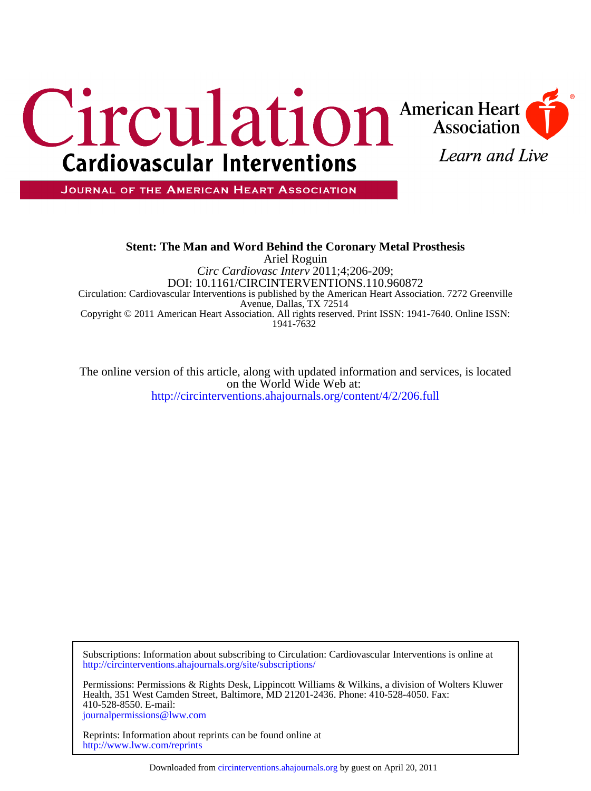

JOURNAL OF THE AMERICAN HEART ASSOCIATION

# 1941-7632 Copyright © 2011 American Heart Association. All rights reserved. Print ISSN: 1941-7640. Online ISSN: Avenue, Dallas, TX 72514 Circulation: Cardiovascular Interventions is published by the American Heart Association. 7272 Greenville DOI: 10.1161/CIRCINTERVENTIONS.110.960872 *Circ Cardiovasc Interv* 2011;4;206-209; Ariel Roguin **Stent: The Man and Word Behind the Coronary Metal Prosthesis**

<http://circinterventions.ahajournals.org/content/4/2/206.full> on the World Wide Web at: The online version of this article, along with updated information and services, is located

<http://circinterventions.ahajournals.org/site/subscriptions/> Subscriptions: Information about subscribing to Circulation: Cardiovascular Interventions is online at

[journalpermissions@lww.com](mailto:journalpermissions@lww.com) 410-528-8550. E-mail: Health, 351 West Camden Street, Baltimore, MD 21201-2436. Phone: 410-528-4050. Fax: Permissions: Permissions & Rights Desk, Lippincott Williams & Wilkins, a division of Wolters Kluwer

<http://www.lww.com/reprints> Reprints: Information about reprints can be found online at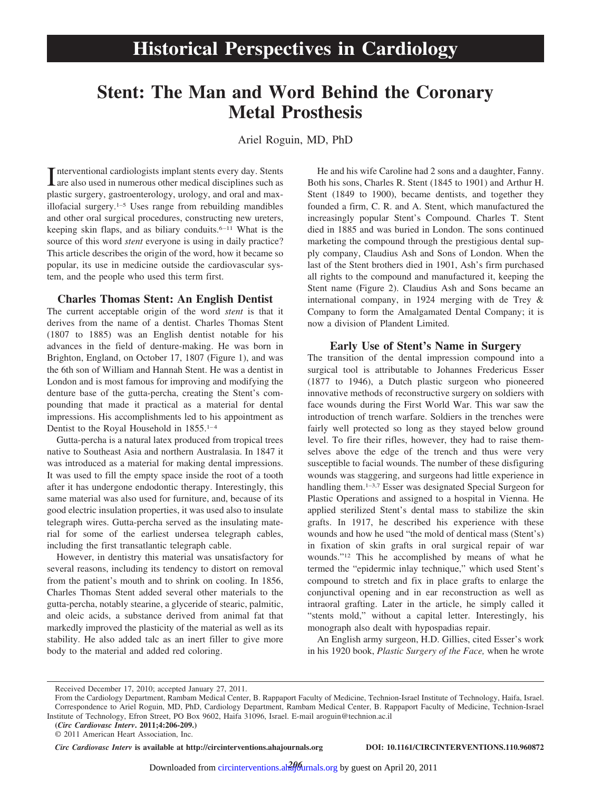# **Stent: The Man and Word Behind the Coronary Metal Prosthesis**

Ariel Roguin, MD, PhD

Interventional cardiologists implant stents every day. Stents<br>are also used in numerous other medical disciplines such as are also used in numerous other medical disciplines such as plastic surgery, gastroenterology, urology, and oral and maxillofacial surgery.1–5 Uses range from rebuilding mandibles and other oral surgical procedures, constructing new ureters, keeping skin flaps, and as biliary conduits.<sup>6-11</sup> What is the source of this word *stent* everyone is using in daily practice? This article describes the origin of the word, how it became so popular, its use in medicine outside the cardiovascular system, and the people who used this term first.

## **Charles Thomas Stent: An English Dentist**

The current acceptable origin of the word *stent* is that it derives from the name of a dentist. Charles Thomas Stent (1807 to 1885) was an English dentist notable for his advances in the field of denture-making. He was born in Brighton, England, on October 17, 1807 (Figure 1), and was the 6th son of William and Hannah Stent. He was a dentist in London and is most famous for improving and modifying the denture base of the gutta-percha, creating the Stent's compounding that made it practical as a material for dental impressions. His accomplishments led to his appointment as Dentist to the Royal Household in  $1855.^{1-4}$ 

Gutta-percha is a natural latex produced from tropical trees native to Southeast Asia and northern Australasia. In 1847 it was introduced as a material for making dental impressions. It was used to fill the empty space inside the root of a tooth after it has undergone endodontic therapy. Interestingly, this same material was also used for furniture, and, because of its good electric insulation properties, it was used also to insulate telegraph wires. Gutta-percha served as the insulating material for some of the earliest undersea telegraph cables, including the first transatlantic telegraph cable.

However, in dentistry this material was unsatisfactory for several reasons, including its tendency to distort on removal from the patient's mouth and to shrink on cooling. In 1856, Charles Thomas Stent added several other materials to the gutta-percha, notably stearine, a glyceride of stearic, palmitic, and oleic acids, a substance derived from animal fat that markedly improved the plasticity of the material as well as its stability. He also added talc as an inert filler to give more body to the material and added red coloring.

He and his wife Caroline had 2 sons and a daughter, Fanny. Both his sons, Charles R. Stent (1845 to 1901) and Arthur H. Stent (1849 to 1900), became dentists, and together they founded a firm, C. R. and A. Stent, which manufactured the increasingly popular Stent's Compound. Charles T. Stent died in 1885 and was buried in London. The sons continued marketing the compound through the prestigious dental supply company, Claudius Ash and Sons of London. When the last of the Stent brothers died in 1901, Ash's firm purchased all rights to the compound and manufactured it, keeping the Stent name (Figure 2). Claudius Ash and Sons became an international company, in 1924 merging with de Trey & Company to form the Amalgamated Dental Company; it is now a division of Plandent Limited.

## **Early Use of Stent's Name in Surgery**

The transition of the dental impression compound into a surgical tool is attributable to Johannes Fredericus Esser (1877 to 1946), a Dutch plastic surgeon who pioneered innovative methods of reconstructive surgery on soldiers with face wounds during the First World War. This war saw the introduction of trench warfare. Soldiers in the trenches were fairly well protected so long as they stayed below ground level. To fire their rifles, however, they had to raise themselves above the edge of the trench and thus were very susceptible to facial wounds. The number of these disfiguring wounds was staggering, and surgeons had little experience in handling them.<sup>1-3,7</sup> Esser was designated Special Surgeon for Plastic Operations and assigned to a hospital in Vienna. He applied sterilized Stent's dental mass to stabilize the skin grafts. In 1917, he described his experience with these wounds and how he used "the mold of dentical mass (Stent's) in fixation of skin grafts in oral surgical repair of war wounds."12 This he accomplished by means of what he termed the "epidermic inlay technique," which used Stent's compound to stretch and fix in place grafts to enlarge the conjunctival opening and in ear reconstruction as well as intraoral grafting. Later in the article, he simply called it "stents mold," without a capital letter. Interestingly, his monograph also dealt with hypospadias repair.

An English army surgeon, H.D. Gillies, cited Esser's work in his 1920 book, *Plastic Surgery of the Face,* when he wrote

© 2011 American Heart Association, Inc.

*Circ Cardiovasc Interv* **is available at http://circinterventions.ahajournals.org DOI: 10.1161/CIRCINTERVENTIONS.110.960872**

Received December 17, 2010; accepted January 27, 2011.

From the Cardiology Department, Rambam Medical Center, B. Rappaport Faculty of Medicine, Technion-Israel Institute of Technology, Haifa, Israel. Correspondence to Ariel Roguin, MD, PhD, Cardiology Department, Rambam Medical Center, B. Rappaport Faculty of Medicine, Technion-Israel Institute of Technology, Efron Street, PO Box 9602, Haifa 31096, Israel. E-mail aroguin@technion.ac.il

**<sup>(</sup>***Circ Cardiovasc Interv***. 2011;4:206-209.)**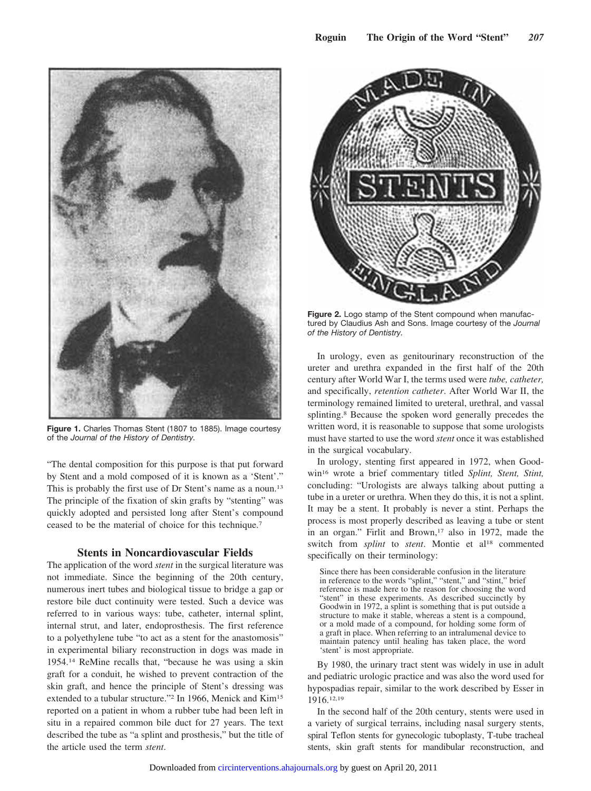

**Figure 1.** Charles Thomas Stent (1807 to 1885). Image courtesy of the *Journal of the History of Dentistry.*

"The dental composition for this purpose is that put forward by Stent and a mold composed of it is known as a 'Stent'." This is probably the first use of Dr Stent's name as a noun.<sup>13</sup> The principle of the fixation of skin grafts by "stenting" was quickly adopted and persisted long after Stent's compound ceased to be the material of choice for this technique.7

# **Stents in Noncardiovascular Fields**

The application of the word *stent* in the surgical literature was not immediate. Since the beginning of the 20th century, numerous inert tubes and biological tissue to bridge a gap or restore bile duct continuity were tested. Such a device was referred to in various ways: tube, catheter, internal splint, internal strut, and later, endoprosthesis. The first reference to a polyethylene tube "to act as a stent for the anastomosis" in experimental biliary reconstruction in dogs was made in 1954.14 ReMine recalls that, "because he was using a skin graft for a conduit, he wished to prevent contraction of the skin graft, and hence the principle of Stent's dressing was extended to a tubular structure."<sup>2</sup> In 1966, Menick and Kim<sup>15</sup> reported on a patient in whom a rubber tube had been left in situ in a repaired common bile duct for 27 years. The text described the tube as "a splint and prosthesis," but the title of the article used the term *stent*.



**Figure 2.** Logo stamp of the Stent compound when manufactured by Claudius Ash and Sons. Image courtesy of the *Journal of the History of Dentistry.*

In urology, even as genitourinary reconstruction of the ureter and urethra expanded in the first half of the 20th century after World War I, the terms used were *tube, catheter,* and specifically, *retention catheter*. After World War II, the terminology remained limited to ureteral, urethral, and vassal splinting.8 Because the spoken word generally precedes the written word, it is reasonable to suppose that some urologists must have started to use the word *stent* once it was established in the surgical vocabulary.

In urology, stenting first appeared in 1972, when Goodwin16 wrote a brief commentary titled *Splint, Stent, Stint,* concluding: "Urologists are always talking about putting a tube in a ureter or urethra. When they do this, it is not a splint. It may be a stent. It probably is never a stint. Perhaps the process is most properly described as leaving a tube or stent in an organ." Firlit and Brown,<sup>17</sup> also in 1972, made the switch from *splint* to *stent*. Montie et al<sup>18</sup> commented specifically on their terminology:

Since there has been considerable confusion in the literature in reference to the words "splint," "stent," and "stint," brief reference is made here to the reason for choosing the word "stent" in these experiments. As described succinctly by Goodwin in 1972, a splint is something that is put outside a structure to make it stable, whereas a stent is a compound, or a mold made of a compound, for holding some form of a graft in place. When referring to an intralumenal device to maintain patency until healing has taken place, the word 'stent' is most appropriate.

By 1980, the urinary tract stent was widely in use in adult and pediatric urologic practice and was also the word used for hypospadias repair, similar to the work described by Esser in 1916.12,19

In the second half of the 20th century, stents were used in a variety of surgical terrains, including nasal surgery stents, spiral Teflon stents for gynecologic tuboplasty, T-tube tracheal stents, skin graft stents for mandibular reconstruction, and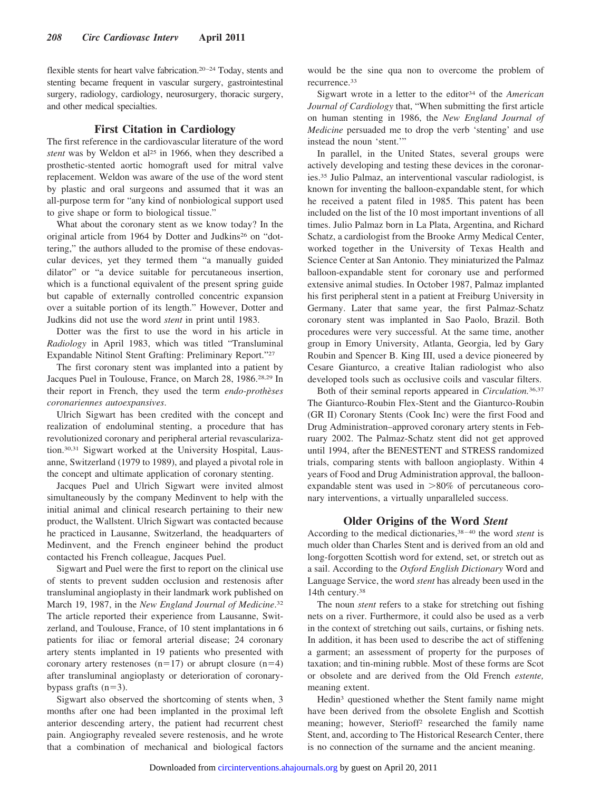flexible stents for heart valve fabrication.<sup>20-24</sup> Today, stents and stenting became frequent in vascular surgery, gastrointestinal surgery, radiology, cardiology, neurosurgery, thoracic surgery, and other medical specialties.

# **First Citation in Cardiology**

The first reference in the cardiovascular literature of the word *stent* was by Weldon et al<sup>25</sup> in 1966, when they described a prosthetic-stented aortic homograft used for mitral valve replacement. Weldon was aware of the use of the word stent by plastic and oral surgeons and assumed that it was an all-purpose term for "any kind of nonbiological support used to give shape or form to biological tissue."

What about the coronary stent as we know today? In the original article from 1964 by Dotter and Judkins<sup>26</sup> on "dottering," the authors alluded to the promise of these endovascular devices, yet they termed them "a manually guided dilator" or "a device suitable for percutaneous insertion, which is a functional equivalent of the present spring guide but capable of externally controlled concentric expansion over a suitable portion of its length." However, Dotter and Judkins did not use the word *stent* in print until 1983.

Dotter was the first to use the word in his article in *Radiology* in April 1983, which was titled "Transluminal Expandable Nitinol Stent Grafting: Preliminary Report."27

The first coronary stent was implanted into a patient by Jacques Puel in Toulouse, France, on March 28, 1986.28,29 In their report in French, they used the term *endo-prothe`ses coronariennes autoexpansives*.

Ulrich Sigwart has been credited with the concept and realization of endoluminal stenting, a procedure that has revolutionized coronary and peripheral arterial revascularization.30,31 Sigwart worked at the University Hospital, Lausanne, Switzerland (1979 to 1989), and played a pivotal role in the concept and ultimate application of coronary stenting.

Jacques Puel and Ulrich Sigwart were invited almost simultaneously by the company Medinvent to help with the initial animal and clinical research pertaining to their new product, the Wallstent. Ulrich Sigwart was contacted because he practiced in Lausanne, Switzerland, the headquarters of Medinvent, and the French engineer behind the product contacted his French colleague, Jacques Puel.

Sigwart and Puel were the first to report on the clinical use of stents to prevent sudden occlusion and restenosis after transluminal angioplasty in their landmark work published on March 19, 1987, in the *New England Journal of Medicine*. 32 The article reported their experience from Lausanne, Switzerland, and Toulouse, France, of 10 stent implantations in 6 patients for iliac or femoral arterial disease; 24 coronary artery stents implanted in 19 patients who presented with coronary artery restenoses  $(n=17)$  or abrupt closure  $(n=4)$ after transluminal angioplasty or deterioration of coronarybypass grafts  $(n=3)$ .

Sigwart also observed the shortcoming of stents when, 3 months after one had been implanted in the proximal left anterior descending artery, the patient had recurrent chest pain. Angiography revealed severe restenosis, and he wrote that a combination of mechanical and biological factors

would be the sine qua non to overcome the problem of recurrence.33

Sigwart wrote in a letter to the editor34 of the *American Journal of Cardiology* that, "When submitting the first article on human stenting in 1986, the *New England Journal of Medicine* persuaded me to drop the verb 'stenting' and use instead the noun 'stent.'"

In parallel, in the United States, several groups were actively developing and testing these devices in the coronaries.35 Julio Palmaz, an interventional vascular radiologist, is known for inventing the balloon-expandable stent, for which he received a patent filed in 1985. This patent has been included on the list of the 10 most important inventions of all times. Julio Palmaz born in La Plata, Argentina, and Richard Schatz, a cardiologist from the Brooke Army Medical Center, worked together in the University of Texas Health and Science Center at San Antonio. They miniaturized the Palmaz balloon-expandable stent for coronary use and performed extensive animal studies. In October 1987, Palmaz implanted his first peripheral stent in a patient at Freiburg University in Germany. Later that same year, the first Palmaz-Schatz coronary stent was implanted in Sao Paolo, Brazil. Both procedures were very successful. At the same time, another group in Emory University, Atlanta, Georgia, led by Gary Roubin and Spencer B. King III, used a device pioneered by Cesare Gianturco, a creative Italian radiologist who also developed tools such as occlusive coils and vascular filters.

Both of their seminal reports appeared in *Circulation.*36,37 The Gianturco-Roubin Flex-Stent and the Gianturco-Roubin (GR II) Coronary Stents (Cook Inc) were the first Food and Drug Administration–approved coronary artery stents in February 2002. The Palmaz-Schatz stent did not get approved until 1994, after the BENESTENT and STRESS randomized trials, comparing stents with balloon angioplasty. Within 4 years of Food and Drug Administration approval, the balloonexpandable stent was used in  $>80\%$  of percutaneous coronary interventions, a virtually unparalleled success.

# **Older Origins of the Word** *Stent*

According to the medical dictionaries,38 – 40 the word *stent* is much older than Charles Stent and is derived from an old and long-forgotten Scottish word for extend, set, or stretch out as a sail. According to the *Oxford English Dictionary* Word and Language Service, the word *stent* has already been used in the 14th century.38

The noun *stent* refers to a stake for stretching out fishing nets on a river. Furthermore, it could also be used as a verb in the context of stretching out sails, curtains, or fishing nets. In addition, it has been used to describe the act of stiffening a garment; an assessment of property for the purposes of taxation; and tin-mining rubble. Most of these forms are Scot or obsolete and are derived from the Old French *estente,* meaning extent.

Hedin3 questioned whether the Stent family name might have been derived from the obsolete English and Scottish meaning; however, Sterioff2 researched the family name Stent, and, according to The Historical Research Center, there is no connection of the surname and the ancient meaning.